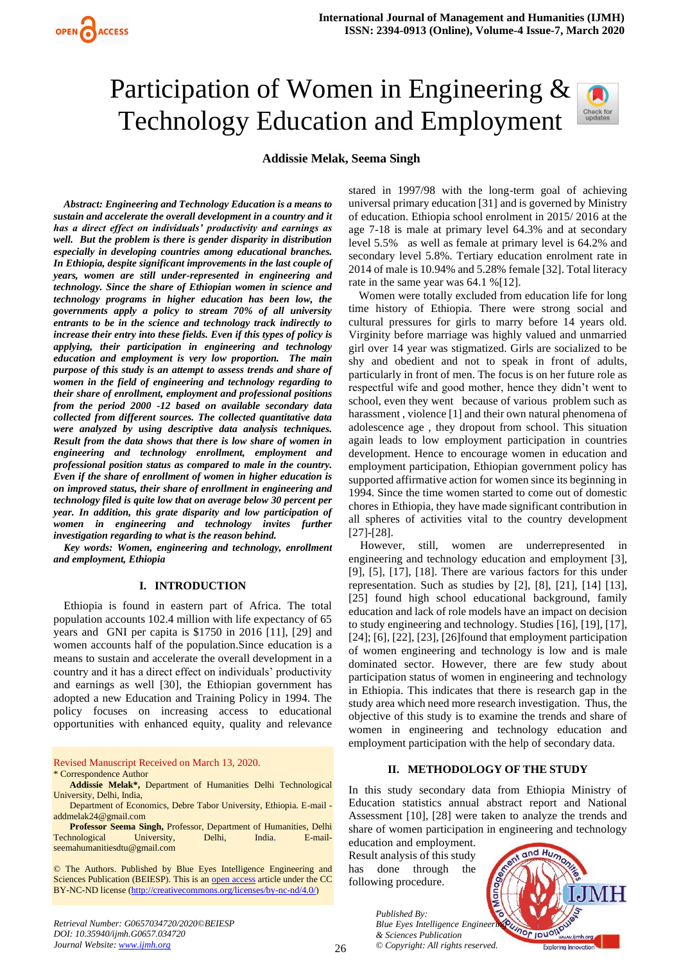# Participation of Women in Engineering & Technology Education and Employment



# **Addissie Melak, Seema Singh**

*Abstract: Engineering and Technology Education is a means to sustain and accelerate the overall development in a country and it has a direct effect on individuals' productivity and earnings as well. But the problem is there is gender disparity in distribution especially in developing countries among educational branches. In Ethiopia, despite significant improvements in the last couple of years, women are still under-represented in engineering and technology. Since the share of Ethiopian women in science and technology programs in higher education has been low, the governments apply a policy to stream 70% of all university entrants to be in the science and technology track indirectly to increase their entry into these fields. Even if this types of policy is applying, their participation in engineering and technology education and employment is very low proportion. The main purpose of this study is an attempt to assess trends and share of women in the field of engineering and technology regarding to their share of enrollment, employment and professional positions from the period 2000 -12 based on available secondary data collected from different sources. The collected quantitative data were analyzed by using descriptive data analysis techniques. Result from the data shows that there is low share of women in engineering and technology enrollment, employment and professional position status as compared to male in the country. Even if the share of enrollment of women in higher education is on improved status, their share of enrollment in engineering and technology filed is quite low that on average below 30 percent per year. In addition, this grate disparity and low participation of women in engineering and technology invites further investigation regarding to what is the reason behind.*

*Key words: Women, engineering and technology, enrollment and employment, Ethiopia* 

#### **I. INTRODUCTION**

Ethiopia is found in eastern part of Africa. The total population accounts 102.4 million with life expectancy of 65 years and GNI per capita is \$1750 in 2016 [11], [29] and women accounts half of the population.Since education is a means to sustain and accelerate the overall development in a country and it has a direct effect on individuals' productivity and earnings as well [30], the Ethiopian government has adopted a new Education and Training Policy in 1994. The policy focuses on increasing access to educational opportunities with enhanced equity, quality and relevance

Revised Manuscript Received on March 13, 2020. \* Correspondence Author

**Professor Seema Singh,** Professor, Department of Humanities, Delhi Technological University, Delhi, India. E-mail[seemahumanitiesdtu@gmail.com](mailto:seemahumanitiesdtu@gmail.com)

© The Authors. Published by Blue Eyes Intelligence Engineering and Sciences Publication (BEIESP). This is an [open access](https://www.openaccess.nl/en/open-publications) article under the CC BY-NC-ND license [\(http://creativecommons.org/licenses/by-nc-nd/4.0/\)](http://creativecommons.org/licenses/by-nc-nd/4.0/)

*Retrieval Number: G0657034720/2020©BEIESP DOI: 10.35940/ijmh.G0657.034720 Journal Website: [www.ijmh.org](http://www.ijmh.org/)*

stared in 1997/98 with the long-term goal of achieving universal primary education [31] and is governed by Ministry of education. Ethiopia school enrolment in 2015/ 2016 at the age 7-18 is male at primary level 64.3% and at secondary level 5.5% as well as female at primary level is 64.2% and secondary level 5.8%. Tertiary education enrolment rate in 2014 of male is 10.94% and 5.28% female [32]. Total literacy rate in the same year was 64.1 %[12].

Women were totally excluded from education life for long time history of Ethiopia. There were strong social and cultural pressures for girls to marry before 14 years old. Virginity before marriage was highly valued and unmarried girl over 14 year was stigmatized. Girls are socialized to be shy and obedient and not to speak in front of adults, particularly in front of men. The focus is on her future role as respectful wife and good mother, hence they didn't went to school, even they went because of various problem such as harassment, violence [1] and their own natural phenomena of adolescence age , they dropout from school. This situation again leads to low employment participation in countries development. Hence to encourage women in education and employment participation, Ethiopian government policy has supported affirmative action for women since its beginning in 1994. Since the time women started to come out of domestic chores in Ethiopia, they have made significant contribution in all spheres of activities vital to the country development [27]-[28].

However, still, women are underrepresented in engineering and technology education and employment [3], [9], [5], [17], [18]. There are various factors for this under representation. Such as studies by [2], [8], [21], [14] [13], [25] found high school educational background, family education and lack of role models have an impact on decision to study engineering and technology. Studies [16], [19], [17], [24]; [6], [22], [23], [26] found that employment participation of women engineering and technology is low and is male dominated sector. However, there are few study about participation status of women in engineering and technology in Ethiopia. This indicates that there is research gap in the study area which need more research investigation. Thus, the objective of this study is to examine the trends and share of women in engineering and technology education and employment participation with the help of secondary data.

#### **II. METHODOLOGY OF THE STUDY**

In this study secondary data from Ethiopia Ministry of Education statistics annual abstract report and National Assessment [10], [28] were taken to analyze the trends and share of women participation in engineering and technology

education and employment. Result analysis of this study has done through the following procedure.

> *Published By: Blue Eyes Intelligence Engineeri & Sciences Publication © Copyright: All rights reserved.*



**Addissie Melak\*,** Department of Humanities Delhi Technological University, Delhi, India,

Department of Economics, Debre Tabor University, Ethiopia. E-mail [addmelak24@gmail.com](mailto:addmelak24@gmail.com)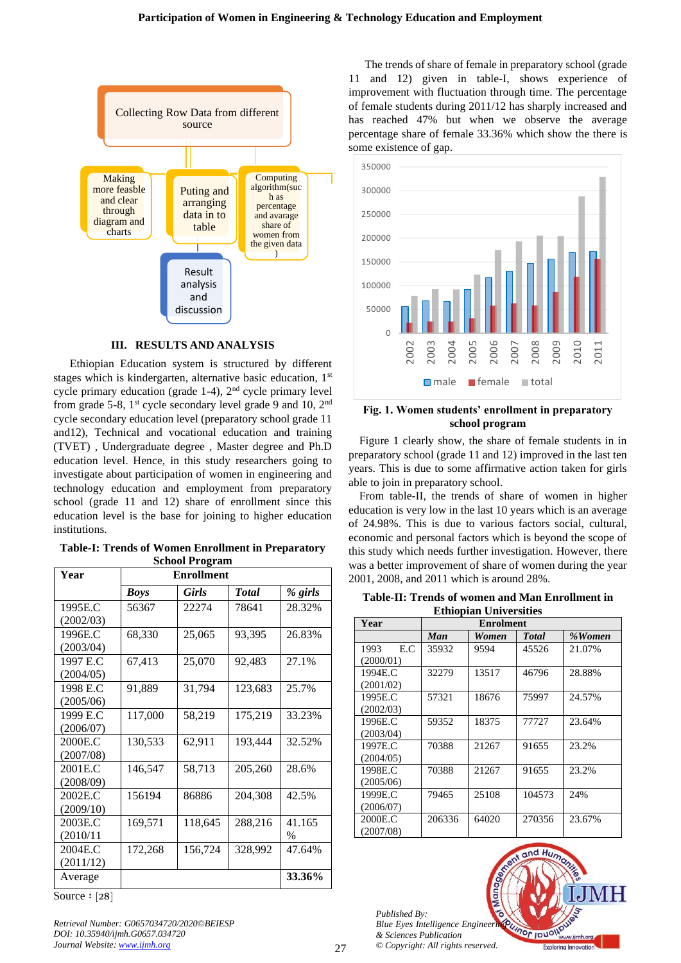

## **III. RESULTS AND ANALYSIS**

Ethiopian Education system is structured by different stages which is kindergarten, alternative basic education, 1<sup>st</sup> cycle primary education (grade 1-4), 2nd cycle primary level from grade 5-8,  $1<sup>st</sup>$  cycle secondary level grade 9 and 10,  $2<sup>nd</sup>$ cycle secondary education level (preparatory school grade 11 and12), Technical and vocational education and training (TVET) , Undergraduate degree , Master degree and Ph.D education level. Hence, in this study researchers going to investigate about participation of women in engineering and technology education and employment from preparatory school (grade 11 and 12) share of enrollment since this education level is the base for joining to higher education institutions.

| <b>Table-I: Trends of Women Enrollment in Preparatory</b> |
|-----------------------------------------------------------|
| School Program                                            |

| Year      |             | othoor 1 rugram<br><b>Enrollment</b> |         |        |
|-----------|-------------|--------------------------------------|---------|--------|
|           | <b>Boys</b> | <b>Total</b>                         | % girls |        |
| 1995E.C   | 56367       | 22274                                | 78641   | 28.32% |
| (2002/03) |             |                                      |         |        |
| 1996E.C   | 68,330      | 25,065                               | 93.395  | 26.83% |
| (2003/04) |             |                                      |         |        |
| 1997 E.C  | 67,413      | 25,070                               | 92,483  | 27.1%  |
| (2004/05) |             |                                      |         |        |
| 1998 E.C  | 91,889      | 31,794                               | 123,683 | 25.7%  |
| (2005/06) |             |                                      |         |        |
| 1999 E.C  | 117,000     | 58,219                               | 175,219 | 33.23% |
| (2006/07) |             |                                      |         |        |
| 2000E.C   | 130,533     | 62,911                               | 193,444 | 32.52% |
| (2007/08) |             |                                      |         |        |
| 2001E.C   | 146,547     | 58,713                               | 205,260 | 28.6%  |
| (2008/09) |             |                                      |         |        |
| 2002E.C   | 156194      | 86886                                | 204,308 | 42.5%  |
| (2009/10) |             |                                      |         |        |
| 2003E.C   | 169,571     | 118,645                              | 288,216 | 41.165 |
| (2010/11) |             |                                      |         | $\%$   |
| 2004E.C   | 172,268     | 156,724                              | 328,992 | 47.64% |
| (2011/12) |             |                                      |         |        |
| Average   |             |                                      |         | 33.36% |

Source: [28]

*Retrieval Number: G0657034720/2020©BEIESP DOI: 10.35940/ijmh.G0657.034720 Journal Website: [www.ijmh.org](http://www.ijmh.org/)*

The trends of share of female in preparatory school (grade 11 and 12) given in table-I, shows experience of improvement with fluctuation through time. The percentage of female students during 2011/12 has sharply increased and has reached 47% but when we observe the average percentage share of female 33.36% which show the there is some existence of gap.



# **Fig. 1. Women students' enrollment in preparatory school program**

Figure 1 clearly show, the share of female students in in preparatory school (grade 11 and 12) improved in the last ten years. This is due to some affirmative action taken for girls able to join in preparatory school.

From table-II, the trends of share of women in higher education is very low in the last 10 years which is an average of 24.98%. This is due to various factors social, cultural, economic and personal factors which is beyond the scope of this study which needs further investigation. However, there was a better improvement of share of women during the year 2001, 2008, and 2011 which is around 28%.

**Table-II: Trends of women and Man Enrollment in Ethiopian Universities** 

|             | ------ |                  |              |        |  |  |  |  |
|-------------|--------|------------------|--------------|--------|--|--|--|--|
| Year        |        | <b>Enrolment</b> |              |        |  |  |  |  |
|             | Man    | Women            | <b>Total</b> | %Women |  |  |  |  |
| E.C<br>1993 | 35932  | 9594             | 45526        | 21.07% |  |  |  |  |
| (2000/01)   |        |                  |              |        |  |  |  |  |
| 1994E.C     | 32279  | 13517            | 46796        | 28.88% |  |  |  |  |
| (2001/02)   |        |                  |              |        |  |  |  |  |
| 1995E.C     | 57321  | 18676            | 75997        | 24.57% |  |  |  |  |
| (2002/03)   |        |                  |              |        |  |  |  |  |
| 1996E.C     | 59352  | 18375            | 77727        | 23.64% |  |  |  |  |
| (2003/04)   |        |                  |              |        |  |  |  |  |
| 1997E.C     | 70388  | 21267            | 91655        | 23.2%  |  |  |  |  |
| (2004/05)   |        |                  |              |        |  |  |  |  |
| 1998E.C     | 70388  | 21267            | 91655        | 23.2%  |  |  |  |  |
| (2005/06)   |        |                  |              |        |  |  |  |  |
| 1999E.C     | 79465  | 25108            | 104573       | 24%    |  |  |  |  |
| (2006/07)   |        |                  |              |        |  |  |  |  |
| 2000E.C     | 206336 | 64020            | 270356       | 23.67% |  |  |  |  |
| (2007/08)   |        |                  |              |        |  |  |  |  |

*Published By: Blue Eyes Intelligence Engineeri & Sciences Publication © Copyright: All rights reserved.*

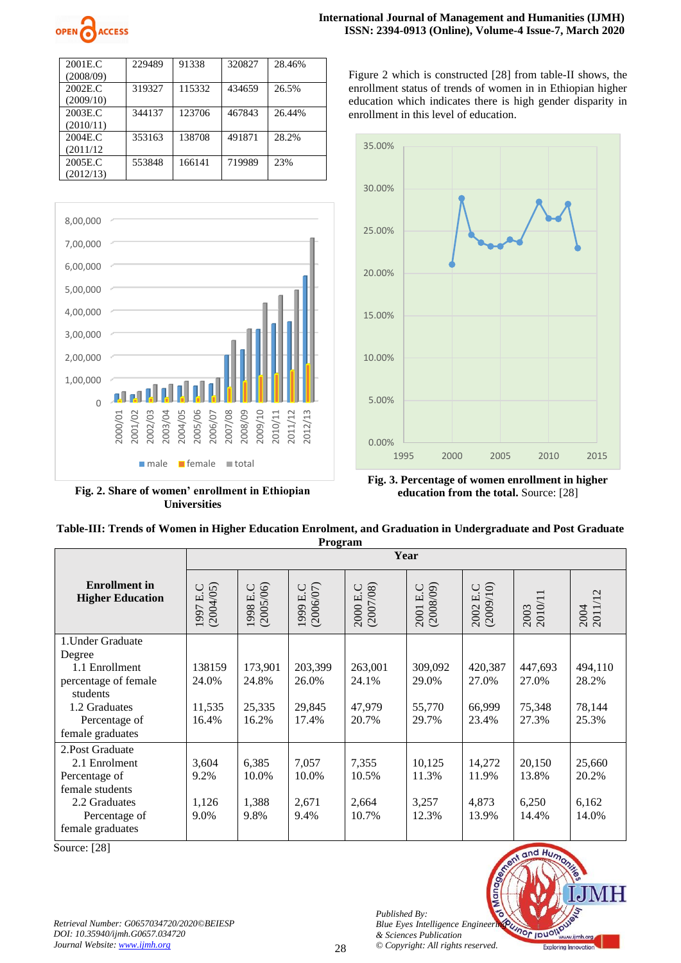

| 2001E.C   | 229489 | 91338  | 320827 | 28.46% |
|-----------|--------|--------|--------|--------|
| (2008/09) |        |        |        |        |
| 2002E.C   | 319327 | 115332 | 434659 | 26.5%  |
| (2009/10) |        |        |        |        |
| 2003E.C   | 344137 | 123706 | 467843 | 26.44% |
| (2010/11) |        |        |        |        |
| 2004E.C.  | 353163 | 138708 | 491871 | 28.2%  |
| (2011/12) |        |        |        |        |
| 2005E.C   | 553848 | 166141 | 719989 | 23%    |
| (2012/13) |        |        |        |        |



**Fig. 2. Share of women' enrollment in Ethiopian Universities**

Figure 2 which is constructed [28] from table-II shows, the enrollment status of trends of women in in Ethiopian higher education which indicates there is high gender disparity in enrollment in this level of education.



**Fig. 3. Percentage of women enrollment in higher education from the total.** Source: [28]

|         | Table-III: Trends of Women in Higher Education Enrolment, and Graduation in Undergraduate and Post Graduate |  |  |  |  |  |
|---------|-------------------------------------------------------------------------------------------------------------|--|--|--|--|--|
| Program |                                                                                                             |  |  |  |  |  |
|         | Voor                                                                                                        |  |  |  |  |  |

|                                                                                                                             |                                    |                                     |                                     |                                     | Year                                |                                     |                                     |                                     |
|-----------------------------------------------------------------------------------------------------------------------------|------------------------------------|-------------------------------------|-------------------------------------|-------------------------------------|-------------------------------------|-------------------------------------|-------------------------------------|-------------------------------------|
| <b>Enrollment</b> in<br><b>Higher Education</b>                                                                             | (2004/05)<br>$\cup$<br>凹<br>1997   | (2005/06)<br>1998 E.C               | 1999 E.C<br>(2006/07)               | (2007/08)<br>2000 E.C               | (2008/09)<br>2001 E.C               | 2002 E.C<br>(2009/10)               | 2003<br>2010/11                     | 2004<br>2011/12                     |
| 1. Under Graduate                                                                                                           |                                    |                                     |                                     |                                     |                                     |                                     |                                     |                                     |
| Degree<br>1.1 Enrollment<br>percentage of female<br>students<br>1.2 Graduates<br>Percentage of<br>female graduates          | 138159<br>24.0%<br>11,535<br>16.4% | 173,901<br>24.8%<br>25,335<br>16.2% | 203,399<br>26.0%<br>29,845<br>17.4% | 263,001<br>24.1%<br>47,979<br>20.7% | 309,092<br>29.0%<br>55,770<br>29.7% | 420,387<br>27.0%<br>66,999<br>23.4% | 447,693<br>27.0%<br>75,348<br>27.3% | 494,110<br>28.2%<br>78,144<br>25.3% |
| 2. Post Graduate<br>2.1 Enrolment<br>Percentage of<br>female students<br>2.2 Graduates<br>Percentage of<br>female graduates | 3,604<br>9.2%<br>1,126<br>9.0%     | 6,385<br>10.0%<br>1,388<br>9.8%     | 7,057<br>10.0%<br>2,671<br>9.4%     | 7,355<br>10.5%<br>2,664<br>10.7%    | 10,125<br>11.3%<br>3,257<br>12.3%   | 14,272<br>11.9%<br>4,873<br>13.9%   | 20,150<br>13.8%<br>6,250<br>14.4%   | 25,660<br>20.2%<br>6,162<br>14.0%   |

Source: [28]

*Retrieval Number: G0657034720/2020©BEIESP DOI: 10.35940/ijmh.G0657.034720 Journal Website: [www.ijmh.org](http://www.ijmh.org/)*



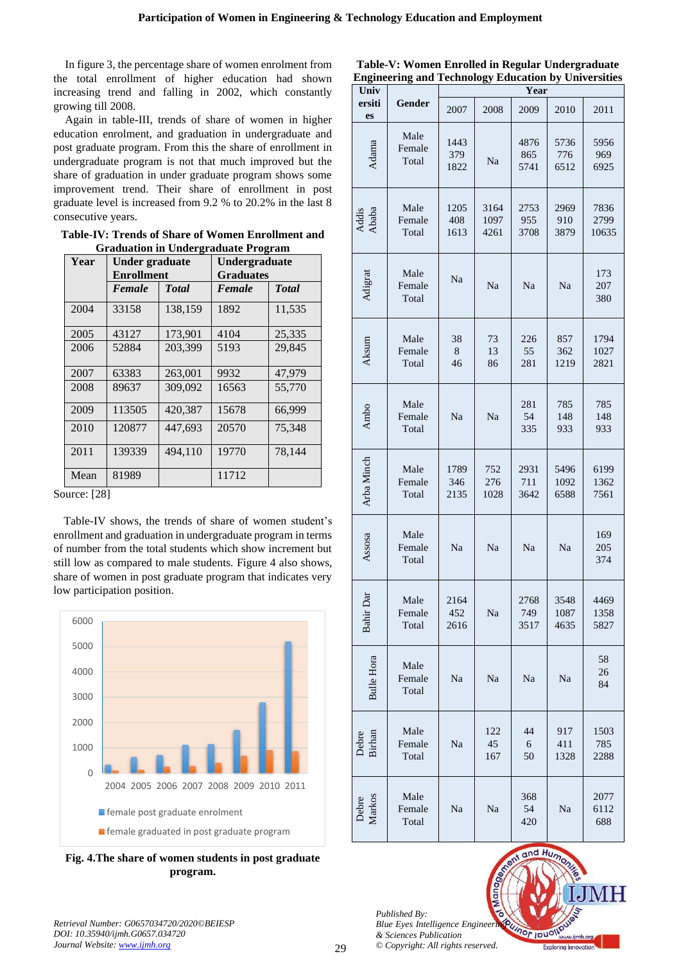In figure 3, the percentage share of women enrolment from the total enrollment of higher education had shown increasing trend and falling in 2002, which constantly growing till 2008.

Again in table-III, trends of share of women in higher education enrolment, and graduation in undergraduate and post graduate program. From this the share of enrollment in undergraduate program is not that much improved but the share of graduation in under graduate program shows some improvement trend. Their share of enrollment in post graduate level is increased from 9.2 % to 20.2% in the last 8 consecutive years.

**Table-IV: Trends of Share of Women Enrollment and Graduation in Undergraduate Program** 

| Year | Under graduate<br><b>Enrollment</b> |              | Undergraduate<br><b>Graduates</b> |              |  |
|------|-------------------------------------|--------------|-----------------------------------|--------------|--|
|      | Female                              | <b>Total</b> | Female                            | <b>Total</b> |  |
| 2004 | 33158                               | 138,159      | 1892                              | 11,535       |  |
| 2005 | 43127                               | 173,901      | 4104                              | 25,335       |  |
| 2006 | 52884                               | 203,399      | 5193                              | 29.845       |  |
| 2007 | 63383                               | 263,001      | 9932                              | 47,979       |  |
| 2008 | 89637                               | 309,092      | 16563                             | 55,770       |  |
| 2009 | 113505                              | 420,387      | 15678                             | 66,999       |  |
| 2010 | 120877                              | 447,693      | 20570                             | 75,348       |  |
| 2011 | 139339                              | 494.110      | 19770                             | 78.144       |  |
| Mean | 81989                               |              | 11712                             |              |  |

Source: [28]

Table-IV shows, the trends of share of women student's enrollment and graduation in undergraduate program in terms of number from the total students which show increment but still low as compared to male students. Figure 4 also shows, share of women in post graduate program that indicates very low participation position.



**Fig. 4.The share of women students in post graduate program.**

**Table-V: Women Enrolled in Regular Undergraduate Engineering and Technology Education by Universities** 

| Univ              |                         | Year                |                      |                     |                      |                       |
|-------------------|-------------------------|---------------------|----------------------|---------------------|----------------------|-----------------------|
| ersiti<br>es      | Gender                  | 2007                | 2008                 | 2009                | 2010                 | 2011                  |
| Adama             | Male<br>Female<br>Total | 1443<br>379<br>1822 | Na                   | 4876<br>865<br>5741 | 5736<br>776<br>6512  | 5956<br>969<br>6925   |
| Addis<br>Ababa    | Male<br>Female<br>Total | 1205<br>408<br>1613 | 3164<br>1097<br>4261 | 2753<br>955<br>3708 | 2969<br>910<br>3879  | 7836<br>2799<br>10635 |
| Adigrat           | Male<br>Female<br>Total | Na                  | Na                   | Na                  | Na                   | 173<br>207<br>380     |
| Aksum             | Male<br>Female<br>Total | 38<br>8<br>46       | 73<br>13<br>86       | 226<br>55<br>281    | 857<br>362<br>1219   | 1794<br>1027<br>2821  |
| Ambo              | Male<br>Female<br>Total | Na                  | Na                   | 281<br>54<br>335    | 785<br>148<br>933    | 785<br>148<br>933     |
| Arba Minch        | Male<br>Female<br>Total | 1789<br>346<br>2135 | 752<br>276<br>1028   | 2931<br>711<br>3642 | 5496<br>1092<br>6588 | 6199<br>1362<br>7561  |
| Assosa            | Male<br>Female<br>Total | Na                  | Na                   | Na                  | Na                   | 169<br>205<br>374     |
| ā<br>Bahir D      | Male<br>Female<br>Total | 2164<br>452<br>2616 | Na                   | 2768<br>749<br>3517 | 3548<br>1087<br>4635 | 4469<br>1358<br>5827  |
| <b>Bulle Hora</b> | Male<br>Female<br>Total | Na                  | Na                   | Na                  | Na                   | 58<br>26<br>84        |
| Debre<br>Birhan   | Male<br>Female<br>Total | Na                  | 122<br>45<br>167     | 44<br>6<br>50       | 917<br>411<br>1328   | 1503<br>785<br>2288   |
| Debre<br>Markos   | Male<br>Female<br>Total | Na                  | Na                   | 368<br>54<br>420    | Na                   | 2077<br>6112<br>688   |

*Published By: Blue Eyes Intelligence Engineeri & Sciences Publication © Copyright: All rights reserved.* and Hun

ional Journ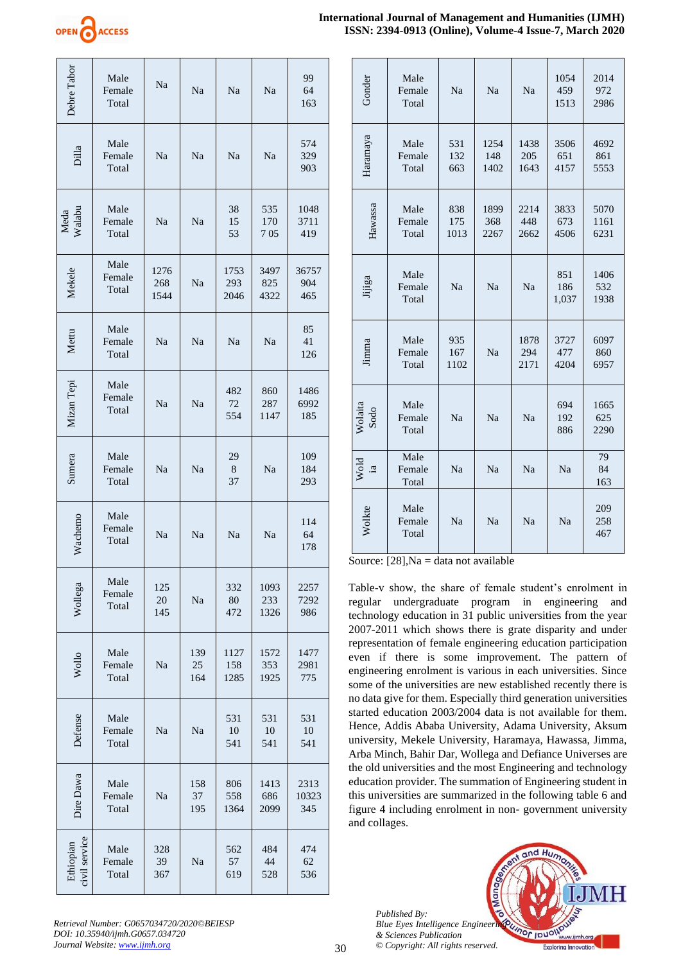

| International Journal of Management and Humanities (IJMH) |                                                        |  |
|-----------------------------------------------------------|--------------------------------------------------------|--|
|                                                           | ISSN: 2394-0913 (Online), Volume-4 Issue-7, March 2020 |  |

| Debre Tabor    | Male<br>Female<br>Total                                                                                       | Na                  | Na               | Na                  | Na                  | 99<br>64<br>163      |
|----------------|---------------------------------------------------------------------------------------------------------------|---------------------|------------------|---------------------|---------------------|----------------------|
| Dilla          | Male<br>Female<br>Total                                                                                       | Na                  | Na               | Na                  | Na                  | 574<br>329<br>903    |
| Walabu<br>Meda | Male<br>Female<br>Total                                                                                       | Na                  | Na               | 38<br>15<br>53      | 535<br>170<br>705   | 1048<br>3711<br>419  |
| Mekele         | Male<br>Female<br>Total                                                                                       | 1276<br>268<br>1544 | Na               | 1753<br>293<br>2046 | 3497<br>825<br>4322 | 36757<br>904<br>465  |
| Mettu          | Male<br>Female<br>Total                                                                                       | Na                  | Na               | Na                  | Na                  | 85<br>41<br>126      |
| Mizan Tepi     | Male<br>Female<br>Total                                                                                       | Na                  | Na               | 482<br>72<br>554    | 860<br>287<br>1147  | 1486<br>6992<br>185  |
| Sumera         | Male<br>Female<br>Total                                                                                       | Na                  | Na               | 29<br>8<br>37       | Na                  | 109<br>184<br>293    |
| Wachemo        | Male<br>Female<br>Total                                                                                       | Na                  | Na               | Na                  | Na                  | 114<br>64<br>178     |
| Wollega        | Male<br>Female<br>Total                                                                                       | 125<br>20<br>145    | Na               | 332<br>80<br>472    | 1093<br>233<br>1326 | 2257<br>7292<br>986  |
| Wollo          | Male<br>Female<br>Total                                                                                       | Na                  | 139<br>25<br>164 | 1127<br>158<br>1285 | 1572<br>353<br>1925 | 1477<br>2981<br>775  |
| Defense        | Male<br>Female<br>Total                                                                                       | Na                  | Na               | 531<br>10<br>541    | 531<br>10<br>541    | 531<br>10<br>541     |
| Dire Dawa      | Male<br>Female<br>Total                                                                                       | Na                  | 158<br>37<br>195 | 806<br>558<br>1364  | 1413<br>686<br>2099 | 2313<br>10323<br>345 |
| civil service  | Male<br>Female<br>Total                                                                                       | 328<br>39<br>367    | Na               | 562<br>57<br>619    | 484<br>44<br>528    | 474<br>62<br>536     |
|                | Retrieval Number: G0657034720/2020©BEIESP<br>DOI: 10.35940/ijmh.G0657.034720<br>Journal Website: www.ijmh.org |                     |                  |                     |                     |                      |

| Gonder                            | Male<br>Female<br>Total | Na                 | Na                  | Na                  | 1054<br>459<br>1513 | 2014<br>972<br>2986  |
|-----------------------------------|-------------------------|--------------------|---------------------|---------------------|---------------------|----------------------|
| Haramaya                          | Male<br>Female<br>Total | 531<br>132<br>663  | 1254<br>148<br>1402 | 1438<br>205<br>1643 | 3506<br>651<br>4157 | 4692<br>861<br>5553  |
| Hawassa                           | Male<br>Female<br>Total | 838<br>175<br>1013 | 1899<br>368<br>2267 | 2214<br>448<br>2662 | 3833<br>673<br>4506 | 5070<br>1161<br>6231 |
| Jijiga                            | Male<br>Female<br>Total | Na                 | Na                  | Na                  | 851<br>186<br>1,037 | 1406<br>532<br>1938  |
| Jimma                             | Male<br>Female<br>Total | 935<br>167<br>1102 | Na                  | 1878<br>294<br>2171 | 3727<br>477<br>4204 | 6097<br>860<br>6957  |
| Wolaita<br>Sodo                   | Male<br>Female<br>Total | Na                 | Na                  | Na                  | 694<br>192<br>886   | 1665<br>625<br>2290  |
| Wold<br>$\overline{\mathfrak{a}}$ | Male<br>Female<br>Total | Na                 | Na                  | <b>Na</b>           | Na                  | 79<br>84<br>163      |
| Wolkte                            | Male<br>Female<br>Total | Na                 | Na                  | Na                  | Na                  | 209<br>258<br>467    |

Source:  $[28]$ , Na = data not available

Table-v show, the share of female student's enrolment in regular undergraduate program in engineering and technology education in 31 public universities from the year 2007-2011 which shows there is grate disparity and under representation of female engineering education participation even if there is some improvement. The pattern of engineering enrolment is various in each universities. Since some of the universities are new established recently there is no data give for them. Especially third generation universities started education 2003/2004 data is not available for them. Hence, Addis Ababa University, Adama University, Aksum university, Mekele University, Haramaya, Hawassa, Jimma, Arba Minch, Bahir Dar, Wollega and Defiance Universes are the old universities and the most Engineering and technology education provider. The summation of Engineering student in this universities are summarized in the following table 6 and figure 4 including enrolment in non- government university and collages.

*Published By: Blue Eyes Intelligence Engineeri & Sciences Publication © Copyright: All rights reserved.*



*Retrieval Number: G0657034720/2020©BEIESP DOI: 10.35940/ijmh.G0657.034720*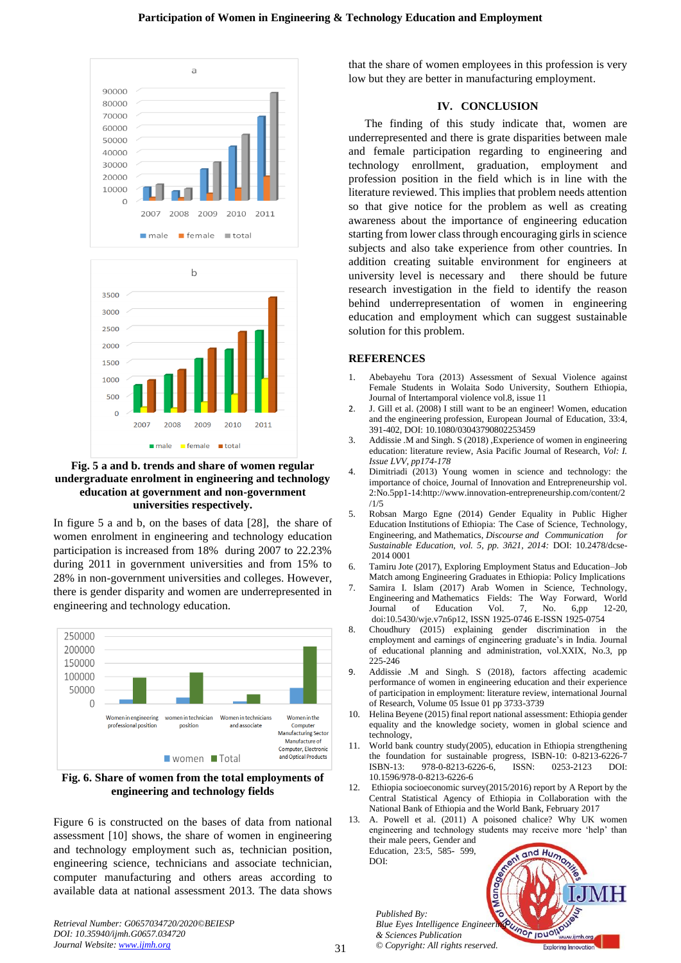



In figure 5 a and b, on the bases of data [28], the share of women enrolment in engineering and technology education participation is increased from 18% during 2007 to 22.23% during 2011 in government universities and from 15% to 28% in non-government universities and colleges. However, there is gender disparity and women are underrepresented in engineering and technology education.



**Fig. 6. Share of women from the total employments of engineering and technology fields** 

Figure 6 is constructed on the bases of data from national assessment [10] shows, the share of women in engineering and technology employment such as, technician position, engineering science, technicians and associate technician, computer manufacturing and others areas according to available data at national assessment 2013. The data shows

*Retrieval Number: G0657034720/2020©BEIESP DOI: 10.35940/ijmh.G0657.034720 Journal Website: [www.ijmh.org](http://www.ijmh.org/)*

that the share of women employees in this profession is very low but they are better in manufacturing employment.

# **IV. CONCLUSION**

The finding of this study indicate that, women are underrepresented and there is grate disparities between male and female participation regarding to engineering and technology enrollment, graduation, employment and profession position in the field which is in line with the literature reviewed. This implies that problem needs attention so that give notice for the problem as well as creating awareness about the importance of engineering education starting from lower class through encouraging girls in science subjects and also take experience from other countries. In addition creating suitable environment for engineers at university level is necessary and there should be future research investigation in the field to identify the reason behind underrepresentation of women in engineering education and employment which can suggest sustainable solution for this problem.

### **REFERENCES**

- 1. Abebayehu Tora (2013) Assessment of Sexual Violence against Female Students in Wolaita Sodo University, Southern Ethiopia, Journal of Intertamporal violence vol.8, issue 11
- 2. J. Gill et al. (2008) I still want to be an engineer! Women, education and the engineering profession, European Journal of Education, 33:4, 391-402, DOI: 10.1080/03043790802253459
- 3. Addissie .M and Singh. S (2018) ,Experience of women in engineering education: literature review, Asia Pacific Journal of Research, *Vol: I. Issue LVV, pp174-178*
- 4. Dimitriadi (2013) Young women in science and technology: the importance of choice, Journal of Innovation and Entrepreneurship vol. 2:No.5pp1-14:http://www.innovation-entrepreneurship.com/content/2 /1/5
- 5. Robsan Margo Egne (2014) Gender Equality in Public Higher Education Institutions of Ethiopia: The Case of Science, Technology, Engineering, and Mathematics, *Discourse and Communication for Sustainable Education, vol. 5, pp. 3ñ21, 2014:* DOI: 10.2478/dcse-2014 0001
- 6. Tamiru Jote (2017), Exploring Employment Status and Education–Job Match among Engineering Graduates in Ethiopia: Policy Implications
- 7. Samira I. Islam (2017) Arab Women in Science, Technology, Engineering and Mathematics Fields: The Way Forward, World Journal of Education Vol. 7, No. 6,pp 12-20, doi:10.5430/wje.v7n6p12, ISSN 1925-0746 E-ISSN 1925-0754
- 8. Choudhury (2015) explaining gender discrimination in the employment and earnings of engineering graduate's in India. Journal of educational planning and administration, vol.XXIX, No.3, pp 225-246
- 9. Addissie .M and Singh. S (2018), factors affecting academic performance of women in engineering education and their experience of participation in employment: literature review, international Journal of Research, Volume 05 Issue 01 pp 3733-3739
- 10. Helina Beyene (2015) final report national assessment: Ethiopia gender equality and the knowledge society, women in global science and technology,
- 11. World bank country study(2005), education in Ethiopia strengthening the foundation for sustainable progress, ISBN-10: 0-8213-6226-7 ISBN-13: 978-0-8213-6226-6, ISSN: 0253-2123 DOI: 10.1596/978-0-8213-6226-6
- 12. Ethiopia socioeconomic survey(2015/2016) report by A Report by the Central Statistical Agency of Ethiopia in Collaboration with the National Bank of Ethiopia and the World Bank, February 2017
- 13. A. Powell et al. (2011) A poisoned chalice? Why UK women engineering and technology students may receive more 'help' than their male peers, Gender and

Education, 23:5, 585- 599,  $DOI<sup>2</sup>$ 

*Published By: Blue Eyes Intelligence Engineeri & Sciences Publication © Copyright: All rights reserved.*